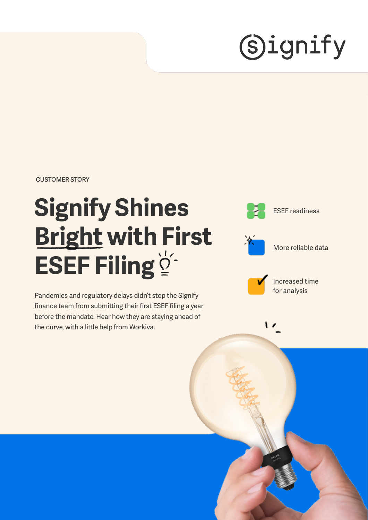# **Signify**

**CUSTOMER STORY**

# **Signify Shines Bright with First ESEF Filing**

Pandemics and regulatory delays didn't stop the Signify finance team from submitting their first ESEF filing a year before the mandate. Hear how they are staying ahead of the curve, with a little help from Workiva.

ESEF readiness



More reliable data



Increased time for analysis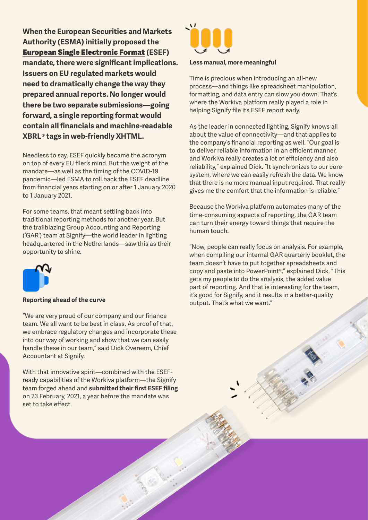**When the European Securities and Markets Authority (ESMA) initially proposed the**  [European Single Electronic Format](https://www.esma.europa.eu/policy-activities/corporate-disclosure/european-single-electronic-format) **(ESEF) mandate, there were significant implications. Issuers on EU regulated markets would need to dramatically change the way they prepared annual reports. No longer would there be two separate submissions—going forward, a single reporting format would contain all financials and machine-readable XBRL® tags in web-friendly XHTML.**

Needless to say, ESEF quickly became the acronym on top of every EU filer's mind. But the weight of the mandate—as well as the timing of the COVID-19 pandemic—led ESMA to roll back the ESEF deadline from financial years starting on or after 1 January 2020 to 1 January 2021.

For some teams, that meant settling back into traditional reporting methods for another year. But the trailblazing Group Accounting and Reporting ('GAR') team at Signify—the world leader in lighting headquartered in the Netherlands—saw this as their opportunity to shine.



### **Reporting ahead of the curve**

"We are very proud of our company and our finance team. We all want to be best in class. As proof of that, we embrace regulatory changes and incorporate these into our way of working and show that we can easily handle these in our team," said Dick Overeem, Chief Accountant at Signify.

With that innovative spirit—combined with the ESEFready capabilities of the Workiva platform—the Signify team forged ahead and **[submitted their first ESEF filing](https://www.esma.europa.eu/policy-activities/corporate-disclosure/european-single-electronic-format)** on 23 February, 2021, a year before the mandate was set to take effect.



#### **Less manual, more meaningful**

Time is precious when introducing an all-new process—and things like spreadsheet manipulation, formatting, and data entry can slow you down. That's where the Workiva platform really played a role in helping Signify file its ESEF report early.

As the leader in connected lighting, Signify knows all about the value of connectivity—and that applies to the company's financial reporting as well. "Our goal is to deliver reliable information in an efficient manner, and Workiva really creates a lot of efficiency and also reliability," explained Dick. "It synchronizes to our core system, where we can easily refresh the data. We know that there is no more manual input required. That really gives me the comfort that the information is reliable."

Because the Workiva platform automates many of the time-consuming aspects of reporting, the GAR team can turn their energy toward things that require the human touch.

"Now, people can really focus on analysis. For example, when compiling our internal GAR quarterly booklet, the team doesn't have to put together spreadsheets and copy and paste into PowerPoint®," explained Dick. "This gets my people to do the analysis, the added value part of reporting. And that is interesting for the team, it's good for Signify, and it results in a better-quality output. That's what we want."